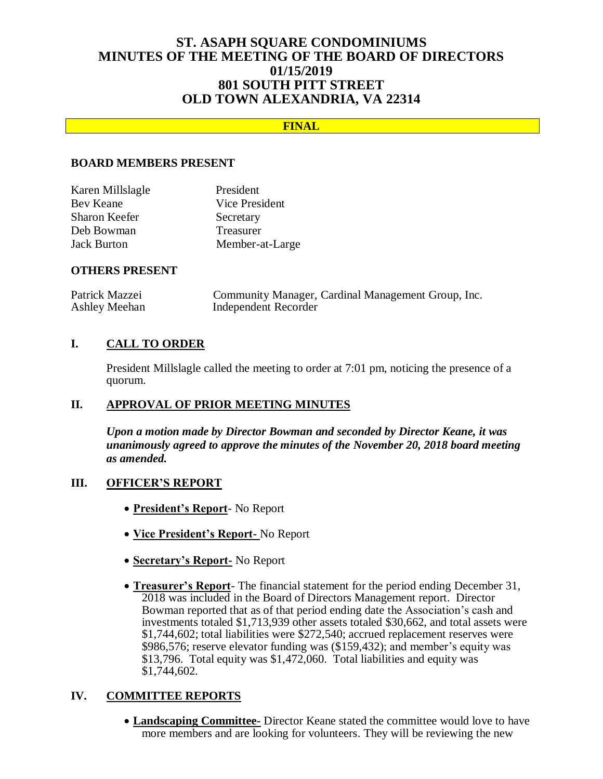# **ST. ASAPH SQUARE CONDOMINIUMS MINUTES OF THE MEETING OF THE BOARD OF DIRECTORS 01/15/2019 801 SOUTH PITT STREET OLD TOWN ALEXANDRIA, VA 22314**

# **FINAL**

## **BOARD MEMBERS PRESENT**

| Karen Millslagle   | President       |
|--------------------|-----------------|
| Bev Keane          | Vice President  |
| Sharon Keefer      | Secretary       |
| Deb Bowman         | Treasurer       |
| <b>Jack Burton</b> | Member-at-Large |

## **OTHERS PRESENT**

| Patrick Mazzei | Community Manager, Cardinal Management Group, Inc. |
|----------------|----------------------------------------------------|
| Ashley Meehan  | Independent Recorder                               |

# **I. CALL TO ORDER**

President Millslagle called the meeting to order at 7:01 pm, noticing the presence of a quorum.

## **II. APPROVAL OF PRIOR MEETING MINUTES**

*Upon a motion made by Director Bowman and seconded by Director Keane, it was unanimously agreed to approve the minutes of the November 20, 2018 board meeting as amended.*

#### **III. OFFICER'S REPORT**

- **President's Report** No Report
- **Vice President's Report-** No Report
- **Secretary's Report-** No Report
- **Treasurer's Report** The financial statement for the period ending December 31, 2018 was included in the Board of Directors Management report. Director Bowman reported that as of that period ending date the Association's cash and investments totaled \$1,713,939 other assets totaled \$30,662, and total assets were \$1,744,602; total liabilities were \$272,540; accrued replacement reserves were \$986,576; reserve elevator funding was (\$159,432); and member's equity was \$13,796. Total equity was \$1,472,060. Total liabilities and equity was \$1,744,602.

## **IV. COMMITTEE REPORTS**

 **Landscaping Committee-** Director Keane stated the committee would love to have more members and are looking for volunteers. They will be reviewing the new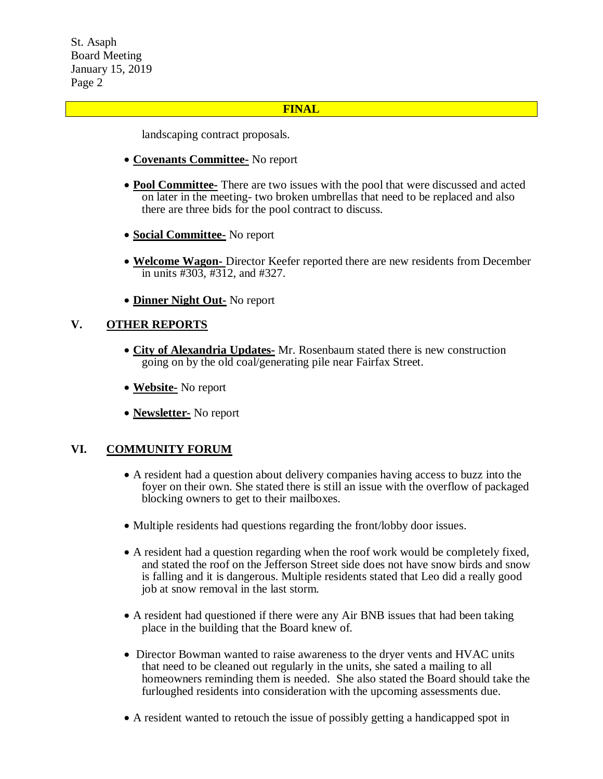## **FINAL**

landscaping contract proposals.

- **Covenants Committee-** No report
- **Pool Committee-** There are two issues with the pool that were discussed and acted on later in the meeting- two broken umbrellas that need to be replaced and also there are three bids for the pool contract to discuss.
- **Social Committee-** No report
- **Welcome Wagon-** Director Keefer reported there are new residents from December in units #303, #312, and #327.
- **Dinner Night Out-** No report

# **V. OTHER REPORTS**

- **City of Alexandria Updates-** Mr. Rosenbaum stated there is new construction going on by the old coal/generating pile near Fairfax Street.
- **Website-** No report
- **Newsletter-** No report

## **VI. COMMUNITY FORUM**

- A resident had a question about delivery companies having access to buzz into the foyer on their own. She stated there is still an issue with the overflow of packaged blocking owners to get to their mailboxes.
- Multiple residents had questions regarding the front/lobby door issues.
- A resident had a question regarding when the roof work would be completely fixed, and stated the roof on the Jefferson Street side does not have snow birds and snow is falling and it is dangerous. Multiple residents stated that Leo did a really good job at snow removal in the last storm.
- A resident had questioned if there were any Air BNB issues that had been taking place in the building that the Board knew of.
- Director Bowman wanted to raise awareness to the dryer vents and HVAC units that need to be cleaned out regularly in the units, she sated a mailing to all homeowners reminding them is needed. She also stated the Board should take the furloughed residents into consideration with the upcoming assessments due.
- A resident wanted to retouch the issue of possibly getting a handicapped spot in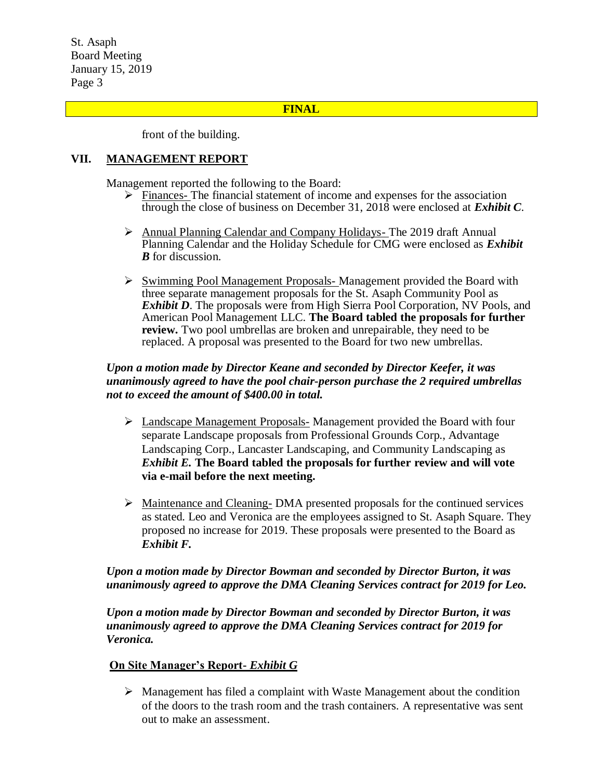#### **FINAL**

front of the building.

## **VII. MANAGEMENT REPORT**

Management reported the following to the Board:

- $\triangleright$  Finances- The financial statement of income and expenses for the association through the close of business on December 31, 2018 were enclosed at *Exhibit C*.
- Annual Planning Calendar and Company Holidays- The 2019 draft Annual Planning Calendar and the Holiday Schedule for CMG were enclosed as *Exhibit B* for discussion.
- $\triangleright$  Swimming Pool Management Proposals-Management provided the Board with three separate management proposals for the St. Asaph Community Pool as *Exhibit D*. The proposals were from High Sierra Pool Corporation, NV Pools, and American Pool Management LLC. **The Board tabled the proposals for further review.** Two pool umbrellas are broken and unrepairable, they need to be replaced. A proposal was presented to the Board for two new umbrellas.

# *Upon a motion made by Director Keane and seconded by Director Keefer, it was unanimously agreed to have the pool chair-person purchase the 2 required umbrellas not to exceed the amount of \$400.00 in total.*

- Landscape Management Proposals- Management provided the Board with four separate Landscape proposals from Professional Grounds Corp., Advantage Landscaping Corp., Lancaster Landscaping, and Community Landscaping as *Exhibit E.* **The Board tabled the proposals for further review and will vote via e-mail before the next meeting.**
- $\triangleright$  Maintenance and Cleaning-DMA presented proposals for the continued services as stated. Leo and Veronica are the employees assigned to St. Asaph Square. They proposed no increase for 2019. These proposals were presented to the Board as *Exhibit F.*

# *Upon a motion made by Director Bowman and seconded by Director Burton, it was unanimously agreed to approve the DMA Cleaning Services contract for 2019 for Leo.*

*Upon a motion made by Director Bowman and seconded by Director Burton, it was unanimously agreed to approve the DMA Cleaning Services contract for 2019 for Veronica.* 

## **On Site Manager's Report-** *Exhibit G*

 $\triangleright$  Management has filed a complaint with Waste Management about the condition of the doors to the trash room and the trash containers. A representative was sent out to make an assessment.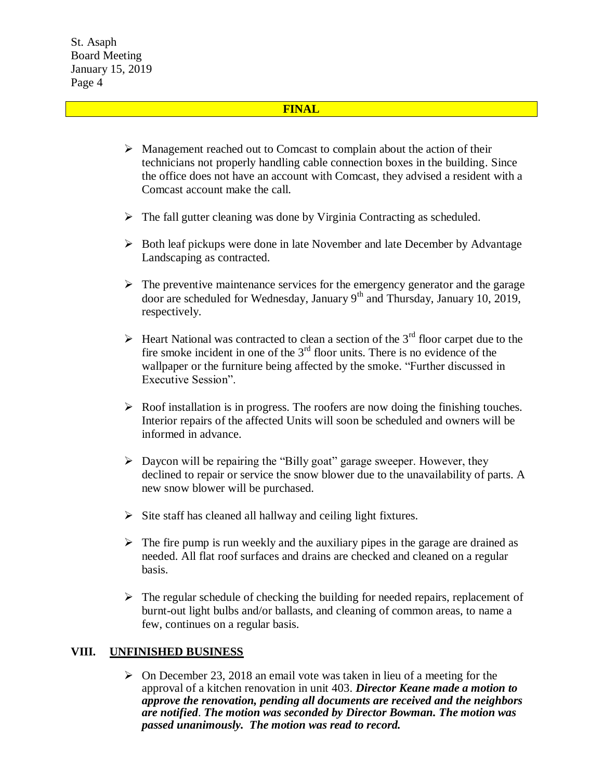#### **FINAL**

- $\triangleright$  Management reached out to Comcast to complain about the action of their technicians not properly handling cable connection boxes in the building. Since the office does not have an account with Comcast, they advised a resident with a Comcast account make the call.
- $\triangleright$  The fall gutter cleaning was done by Virginia Contracting as scheduled.
- $\triangleright$  Both leaf pickups were done in late November and late December by Advantage Landscaping as contracted.
- $\triangleright$  The preventive maintenance services for the emergency generator and the garage door are scheduled for Wednesday, January 9th and Thursday, January 10, 2019, respectively.
- $\triangleright$  Heart National was contracted to clean a section of the 3<sup>rd</sup> floor carpet due to the fire smoke incident in one of the  $3<sup>rd</sup>$  floor units. There is no evidence of the wallpaper or the furniture being affected by the smoke. "Further discussed in Executive Session".
- $\triangleright$  Roof installation is in progress. The roofers are now doing the finishing touches. Interior repairs of the affected Units will soon be scheduled and owners will be informed in advance.
- $\triangleright$  Daycon will be repairing the "Billy goat" garage sweeper. However, they declined to repair or service the snow blower due to the unavailability of parts. A new snow blower will be purchased.
- $\triangleright$  Site staff has cleaned all hallway and ceiling light fixtures.
- $\triangleright$  The fire pump is run weekly and the auxiliary pipes in the garage are drained as needed. All flat roof surfaces and drains are checked and cleaned on a regular basis.
- $\triangleright$  The regular schedule of checking the building for needed repairs, replacement of burnt-out light bulbs and/or ballasts, and cleaning of common areas, to name a few, continues on a regular basis.

## **VIII. UNFINISHED BUSINESS**

 $\triangleright$  On December 23, 2018 an email vote was taken in lieu of a meeting for the approval of a kitchen renovation in unit 403. *Director Keane made a motion to approve the renovation, pending all documents are received and the neighbors are notified*. *The motion was seconded by Director Bowman. The motion was passed unanimously. The motion was read to record.*